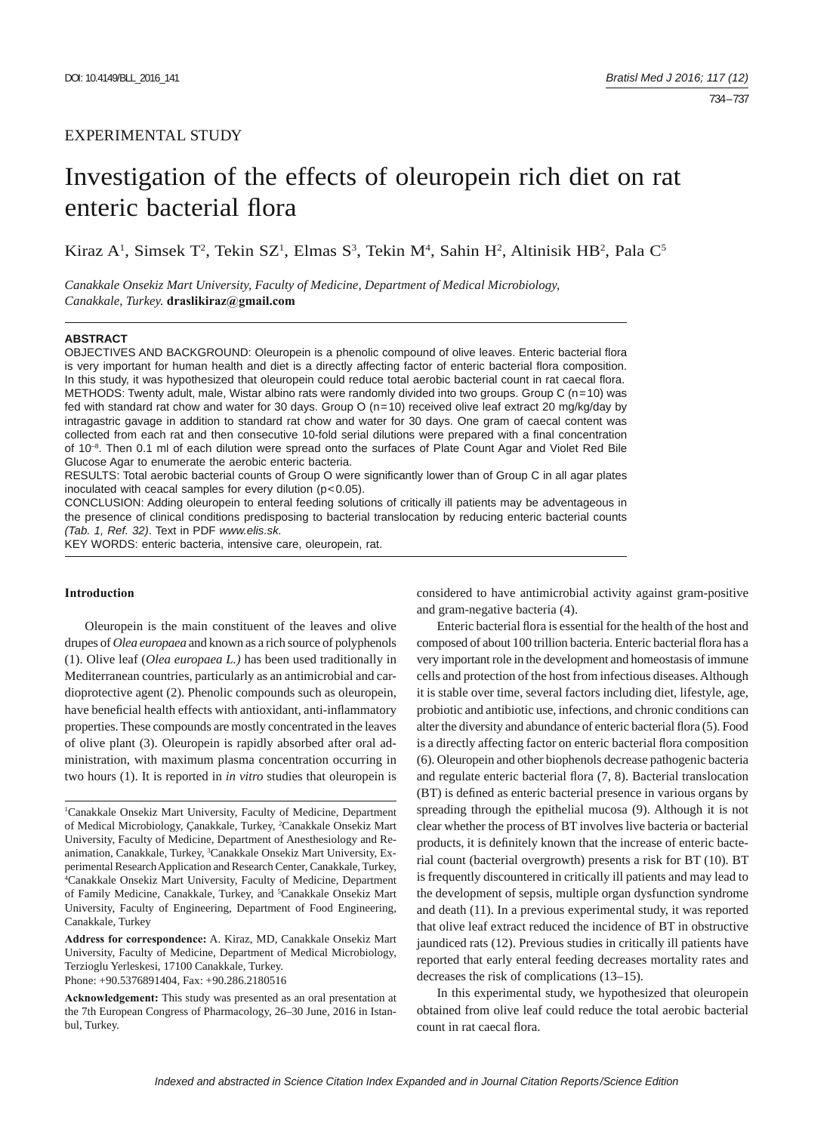# Investigation of the effects of oleuropein rich diet on rat enteric bacterial flora

Kiraz A<sup>1</sup>, Simsek T<sup>2</sup>, Tekin SZ<sup>1</sup>, Elmas S<sup>3</sup>, Tekin M<sup>4</sup>, Sahin H<sup>2</sup>, Altinisik HB<sup>2</sup>, Pala C<sup>5</sup>

*Canakkale Onsekiz Mart University, Faculty of Medicine, Department of Medical Microbiology, Canakkale, Turkey.* **draslikiraz@gmail.com**

#### **ABSTRACT**

OBJECTIVES AND BACKGROUND: Oleuropein is a phenolic compound of olive leaves. Enteric bacterial flora is very important for human health and diet is a directly affecting factor of enteric bacterial flora composition. In this study, it was hypothesized that oleuropein could reduce total aerobic bacterial count in rat caecal flora. METHODS: Twenty adult, male, Wistar albino rats were randomly divided into two groups. Group C (n=10) was fed with standard rat chow and water for 30 days. Group O (n=10) received olive leaf extract 20 mg/kg/day by intragastric gavage in addition to standard rat chow and water for 30 days. One gram of caecal content was collected from each rat and then consecutive 10-fold serial dilutions were prepared with a final concentration of 10<sup>-8</sup>. Then 0.1 ml of each dilution were spread onto the surfaces of Plate Count Agar and Violet Red Bile Glucose Agar to enumerate the aerobic enteric bacteria.

RESULTS: Total aerobic bacterial counts of Group O were significantly lower than of Group C in all agar plates inoculated with ceacal samples for every dilution (p<0.05).

CONCLUSION: Adding oleuropein to enteral feeding solutions of critically ill patients may be adventageous in the presence of clinical conditions predisposing to bacterial translocation by reducing enteric bacterial counts *(Tab. 1, Ref. 32)*. Text in PDF *www.elis.sk.*

KEY WORDS: enteric bacteria, intensive care, oleuropein, rat.

# **Introduction**

Oleuropein is the main constituent of the leaves and olive drupes of *Olea europaea* and known as a rich source of polyphenols (1). Olive leaf (*Olea europaea L.)* has been used traditionally in Mediterranean countries, particularly as an antimicrobial and cardioprotective agent (2). Phenolic compounds such as oleuropein, have beneficial health effects with antioxidant, anti-inflammatory properties. These compounds are mostly concentrated in the leaves of olive plant (3). Oleuropein is rapidly absorbed after oral administration, with maximum plasma concentration occurring in two hours (1). It is reported in *in vitro* studies that oleuropein is

**Address for correspondence:** A. Kiraz, MD, Canakkale Onsekiz Mart University, Faculty of Medicine, Department of Medical Microbiology, Terzioglu Yerleskesi, 17100 Canakkale, Turkey.

Phone: +90.5376891404, Fax: +90.286.2180516

considered to have antimicrobial activity against gram-positive and gram-negative bacteria (4).

Enteric bacterial flora is essential for the health of the host and composed of about 100 trillion bacteria. Enteric bacterial flora has a very important role in the development and homeostasis of immune cells and protection of the host from infectious diseases. Although it is stable over time, several factors including diet, lifestyle, age, probiotic and antibiotic use, infections, and chronic conditions can alter the diversity and abundance of enteric bacterial flora (5). Food is a directly affecting factor on enteric bacterial flora composition (6). Oleuropein and other biophenols decrease pathogenic bacteria and regulate enteric bacterial flora  $(7, 8)$ . Bacterial translocation (BT) is defined as enteric bacterial presence in various organs by spreading through the epithelial mucosa (9). Although it is not clear whether the process of BT involves live bacteria or bacterial products, it is definitely known that the increase of enteric bacterial count (bacterial overgrowth) presents a risk for BT (10). BT is frequently discountered in critically ill patients and may lead to the development of sepsis, multiple organ dysfunction syndrome and death (11). In a previous experimental study, it was reported that olive leaf extract reduced the incidence of BT in obstructive jaundiced rats (12). Previous studies in critically ill patients have reported that early enteral feeding decreases mortality rates and decreases the risk of complications (13–15).

In this experimental study, we hypothesized that oleuropein obtained from olive leaf could reduce the total aerobic bacterial count in rat caecal flora.

<sup>1</sup> Canakkale Onsekiz Mart University, Faculty of Medicine, Department of Medical Microbiology, Çanakkale, Turkey, <sup>2</sup>Canakkale Onsekiz Mart University, Faculty of Medicine, Department of Anesthesiology and Reanimation, Canakkale, Turkey, <sup>3</sup>Canakkale Onsekiz Mart University, Experimental Research Application and Research Center, Canakkale, Turkey, 4 Canakkale Onsekiz Mart University, Faculty of Medicine, Department of Family Medicine, Canakkale, Turkey, and <sup>5</sup>Canakkale Onsekiz Mart University, Faculty of Engineering, Department of Food Engineering, Canakkale, Turkey

**Acknowledgement:** This study was presented as an oral presentation at the 7th European Congress of Pharmacology, 26–30 June, 2016 in Istanbul, Turkey.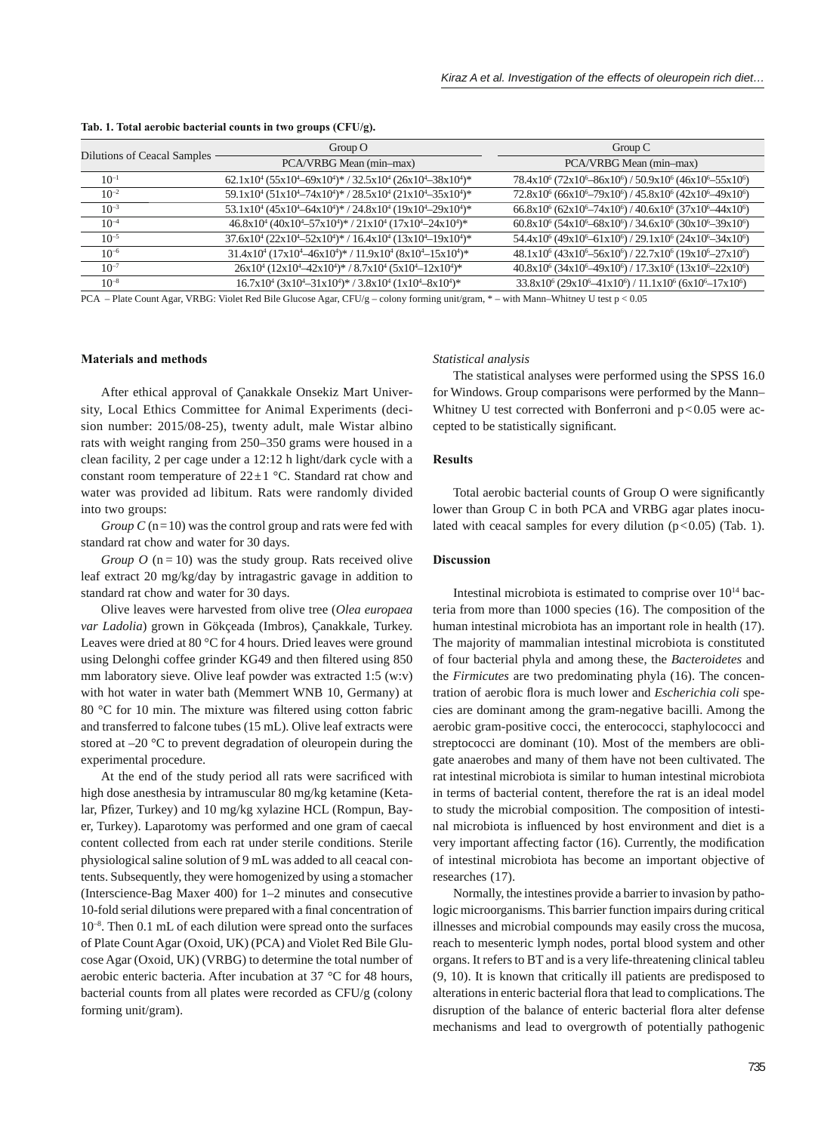| Dilutions of Ceacal Samples | Group $O$                                                                                                   | Group $C$                                                                                                                |
|-----------------------------|-------------------------------------------------------------------------------------------------------------|--------------------------------------------------------------------------------------------------------------------------|
|                             | PCA/VRBG Mean (min-max)                                                                                     | PCA/VRBG Mean (min-max)                                                                                                  |
| $10^{-1}$                   | $62.1x10^4 (55x10^4 - 69x10^4)*$ / $32.5x10^4 (26x10^4 - 38x10^4)*$                                         | $78.4x10^6$ ( $72x10^6 - 86x10^6$ ) / $50.9x10^6$ ( $46x10^6 - 55x10^6$ )                                                |
| $10^{-2}$                   | $59.1x10^4 (51x10^4 - 74x10^4)*$ / $28.5x10^4 (21x10^4 - 35x10^4)*$                                         | $72.8x10^6$ (66x10 <sup>6</sup> -79x10 <sup>6</sup> ) / 45.8x10 <sup>6</sup> (42x10 <sup>6</sup> -49x10 <sup>6</sup> )   |
| $10^{-3}$                   | $53.1x10^4 (45x10^4 - 64x10^4)*$ / $24.8x10^4 (19x10^4 - 29x10^4)*$                                         | $66.8x10^{6} (62x10^{6}-74x10^{6})/40.6x10^{6} (37x10^{6}-44x10^{6})$                                                    |
| $10^{-4}$                   | $46.8x10^{4} (40x10^{4}-57x10^{4})* / 21x10^{4} (17x10^{4}-24x10^{4})*$                                     | $60.8x10^{6}$ (54x10 <sup>6</sup> -68x10 <sup>6</sup> ) / 34.6x10 <sup>6</sup> (30x10 <sup>6</sup> -39x10 <sup>6</sup> ) |
| $10^{-5}$                   | $37.6x10^4 (22x10^4 - 52x10^4)*$ / $16.4x10^4 (13x10^4 - 19x10^4)*$                                         | $54.4x10^{6} (49x10^{6} - 61x10^{6}) / 29.1x10^{6} (24x10^{6} - 34x10^{6})$                                              |
| $10^{-6}$                   | $31.4x10^4 (17x10^4 - 46x10^4)$ / $11.9x10^4 (8x10^4 - 15x10^4)$ *                                          | $48.1x10^{6} (43x10^{6}-56x10^{6})/22.7x10^{6} (19x10^{6}-27x10^{6})$                                                    |
| $10^{-7}$                   | $26x10^4 (12x10^4 - 42x10^4)$ * / 8.7x10 <sup>4</sup> (5x10 <sup>4</sup> -12x10 <sup>4</sup> ) <sup>*</sup> | $40.8x10^6$ (34x10 <sup>6</sup> -49x10 <sup>6</sup> ) / 17.3x10 <sup>6</sup> (13x10 <sup>6</sup> -22x10 <sup>6</sup> )   |
| $10^{-8}$                   | $16.7x10^4$ $(3x10^4 - 31x10^4)*$ / $3.8x10^4$ $(1x10^4 - 8x10^4)*$                                         | $33.8x10^{6} (29x10^{6} - 41x10^{6}) / 11.1x10^{6} (6x10^{6} - 17x10^{6})$                                               |

#### **Tab. 1. Total aerobic bacterial counts in two groups (CFU/g).**

PCA – Plate Count Agar, VRBG: Violet Red Bile Glucose Agar, CFU/g – colony forming unit/gram, \* – with Mann–Whitney U test p < 0.05

## **Materials and methods**

After ethical approval of Çanakkale Onsekiz Mart University, Local Ethics Committee for Animal Experiments (decision number: 2015/08-25), twenty adult, male Wistar albino rats with weight ranging from 250–350 grams were housed in a clean facility, 2 per cage under a 12:12 h light/dark cycle with a constant room temperature of  $22 \pm 1$  °C. Standard rat chow and water was provided ad libitum. Rats were randomly divided into two groups:

*Group C* (n=10) was the control group and rats were fed with standard rat chow and water for 30 days.

*Group O* ( $n = 10$ ) was the study group. Rats received olive leaf extract 20 mg/kg/day by intragastric gavage in addition to standard rat chow and water for 30 days.

Olive leaves were harvested from olive tree (*Olea europaea var Ladolia*) grown in Gökçeada (Imbros), Çanakkale, Turkey. Leaves were dried at 80 °C for 4 hours. Dried leaves were ground using Delonghi coffee grinder KG49 and then filtered using 850 mm laboratory sieve. Olive leaf powder was extracted 1:5 (w:v) with hot water in water bath (Memmert WNB 10, Germany) at 80  $\degree$ C for 10 min. The mixture was filtered using cotton fabric and transferred to falcone tubes (15 mL). Olive leaf extracts were stored at –20 °C to prevent degradation of oleuropein during the experimental procedure.

At the end of the study period all rats were sacrificed with high dose anesthesia by intramuscular 80 mg/kg ketamine (Ketalar, Pfizer, Turkey) and 10 mg/kg xylazine HCL (Rompun, Bayer, Turkey). Laparotomy was performed and one gram of caecal content collected from each rat under sterile conditions. Sterile physiological saline solution of 9 mL was added to all ceacal contents. Subsequently, they were homogenized by using a stomacher (Interscience-Bag Maxer 400) for 1–2 minutes and consecutive 10-fold serial dilutions were prepared with a final concentration of  $10^{-8}$ . Then 0.1 mL of each dilution were spread onto the surfaces of Plate Count Agar (Oxoid, UK) (PCA) and Violet Red Bile Glucose Agar (Oxoid, UK) (VRBG) to determine the total number of aerobic enteric bacteria. After incubation at 37 °C for 48 hours, bacterial counts from all plates were recorded as CFU/g (colony forming unit/gram).

#### *Statistical analysis*

The statistical analyses were performed using the SPSS 16.0 for Windows. Group comparisons were performed by the Mann– Whitney U test corrected with Bonferroni and  $p<0.05$  were accepted to be statistically significant.

#### **Results**

Total aerobic bacterial counts of Group O were significantly lower than Group C in both PCA and VRBG agar plates inoculated with ceacal samples for every dilution  $(p<0.05)$  (Tab. 1).

#### **Discussion**

Intestinal microbiota is estimated to comprise over 1014 bacteria from more than 1000 species (16). The composition of the human intestinal microbiota has an important role in health (17). The majority of mammalian intestinal microbiota is constituted of four bacterial phyla and among these, the *Bacteroidetes* and the *Firmicutes* are two predominating phyla (16). The concentration of aerobic flora is much lower and *Escherichia coli* species are dominant among the gram-negative bacilli. Among the aerobic gram-positive cocci, the enterococci, staphylococci and streptococci are dominant (10). Most of the members are obligate anaerobes and many of them have not been cultivated. The rat intestinal microbiota is similar to human intestinal microbiota in terms of bacterial content, therefore the rat is an ideal model to study the microbial composition. The composition of intestinal microbiota is influenced by host environment and diet is a very important affecting factor  $(16)$ . Currently, the modification of intestinal microbiota has become an important objective of researches (17).

Normally, the intestines provide a barrier to invasion by pathologic microorganisms. This barrier function impairs during critical illnesses and microbial compounds may easily cross the mucosa, reach to mesenteric lymph nodes, portal blood system and other organs. It refers to BT and is a very life-threatening clinical tableu (9, 10). It is known that critically ill patients are predisposed to alterations in enteric bacterial flora that lead to complications. The disruption of the balance of enteric bacterial flora alter defense mechanisms and lead to overgrowth of potentially pathogenic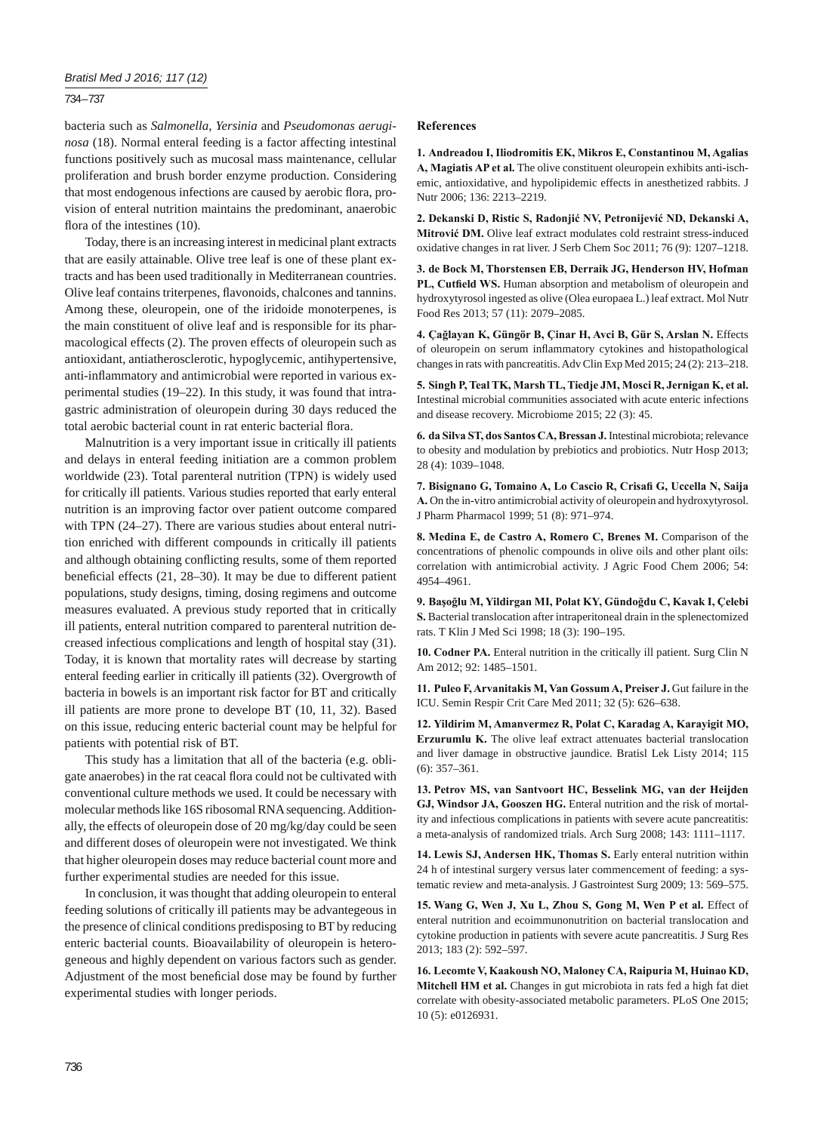## *Bratisl Med J 2016; 117 (12)*

## 734 – 737

bacteria such as *Salmonella*, *Yersinia* and *Pseudomonas aeruginosa* (18). Normal enteral feeding is a factor affecting intestinal functions positively such as mucosal mass maintenance, cellular proliferation and brush border enzyme production. Considering that most endogenous infections are caused by aerobic flora, provision of enteral nutrition maintains the predominant, anaerobic flora of the intestines  $(10)$ .

Today, there is an increasing interest in medicinal plant extracts that are easily attainable. Olive tree leaf is one of these plant extracts and has been used traditionally in Mediterranean countries. Olive leaf contains triterpenes, flavonoids, chalcones and tannins. Among these, oleuropein, one of the iridoide monoterpenes, is the main constituent of olive leaf and is responsible for its pharmacological effects (2). The proven effects of oleuropein such as antioxidant, antiatherosclerotic, hypoglycemic, antihypertensive, anti-inflammatory and antimicrobial were reported in various experimental studies (19–22). In this study, it was found that intragastric administration of oleuropein during 30 days reduced the total aerobic bacterial count in rat enteric bacterial flora.

Malnutrition is a very important issue in critically ill patients and delays in enteral feeding initiation are a common problem worldwide (23). Total parenteral nutrition (TPN) is widely used for critically ill patients. Various studies reported that early enteral nutrition is an improving factor over patient outcome compared with TPN (24–27). There are various studies about enteral nutrition enriched with different compounds in critically ill patients and although obtaining conflicting results, some of them reported beneficial effects  $(21, 28-30)$ . It may be due to different patient populations, study designs, timing, dosing regimens and outcome measures evaluated. A previous study reported that in critically ill patients, enteral nutrition compared to parenteral nutrition decreased infectious complications and length of hospital stay (31). Today, it is known that mortality rates will decrease by starting enteral feeding earlier in critically ill patients (32). Overgrowth of bacteria in bowels is an important risk factor for BT and critically ill patients are more prone to develope BT (10, 11, 32). Based on this issue, reducing enteric bacterial count may be helpful for patients with potential risk of BT.

This study has a limitation that all of the bacteria (e.g. obligate anaerobes) in the rat ceacal flora could not be cultivated with conventional culture methods we used. It could be necessary with molecular methods like 16S ribosomal RNA sequencing. Additionally, the effects of oleuropein dose of 20 mg/kg/day could be seen and different doses of oleuropein were not investigated. We think that higher oleuropein doses may reduce bacterial count more and further experimental studies are needed for this issue.

In conclusion, it was thought that adding oleuropein to enteral feeding solutions of critically ill patients may be advantegeous in the presence of clinical conditions predisposing to BT by reducing enteric bacterial counts. Bioavailability of oleuropein is heterogeneous and highly dependent on various factors such as gender. Adjustment of the most beneficial dose may be found by further experimental studies with longer periods.

### **References**

**1. Andreadou I, Iliodromitis EK, Mikros E, Constantinou M, Agalias A, Magiatis AP et al.** The olive constituent oleuropein exhibits anti-ischemic, antioxidative, and hypolipidemic effects in anesthetized rabbits. J Nutr 2006; 136: 2213–2219.

**2. Dekanski D, Ristic S, Radonjić NV, Petronijević ND, Dekanski A, Mitrović DM.** Olive leaf extract modulates cold restraint stress-induced oxidative changes in rat liver. J Serb Chem Soc 2011; 76 (9): 1207–1218.

**3. de Bock M, Thorstensen EB, Derraik JG, Henderson HV, Hofman**  PL, Cutfield WS. Human absorption and metabolism of oleuropein and hydroxytyrosol ingested as olive (Olea europaea L.) leaf extract. Mol Nutr Food Res 2013; 57 (11): 2079–2085.

**4. Çağlayan K, Güngör B, Çinar H, Avci B, Gür S, Arslan N.** Effects of oleuropein on serum inflammatory cytokines and histopathological changes in rats with pancreatitis. Adv Clin Exp Med 2015; 24 (2): 213–218.

**5. Singh P, Teal TK, Marsh TL, Tiedje JM, Mosci R, Jernigan K, et al.** Intestinal microbial communities associated with acute enteric infections and disease recovery. Microbiome 2015; 22 (3): 45.

**6. da Silva ST, dos Santos CA, Bressan J.** Intestinal microbiota; relevance to obesity and modulation by prebiotics and probiotics. Nutr Hosp 2013; 28 (4): 1039–1048.

**7. Bisignano G, Tomaino A, Lo Cascio R, Crisafi G, Uccella N, Saija A.** On the in-vitro antimicrobial activity of oleuropein and hydroxytyrosol. J Pharm Pharmacol 1999; 51 (8): 971–974.

**8. Medina E, de Castro A, Romero C, Brenes M.** Comparison of the concentrations of phenolic compounds in olive oils and other plant oils: correlation with antimicrobial activity. J Agric Food Chem 2006; 54: 4954–4961.

**9. Başoğlu M, Yildirgan MI, Polat KY, Gündoğdu C, Kavak I, Çelebi S.** Bacterial translocation after intraperitoneal drain in the splenectomized rats. T Klin J Med Sci 1998; 18 (3): 190–195.

**10. Codner PA.** Enteral nutrition in the critically ill patient. Surg Clin N Am 2012; 92: 1485–1501.

**11. Puleo F, Arvanitakis M, Van Gossum A, Preiser J.** Gut failure in the ICU. Semin Respir Crit Care Med 2011; 32 (5): 626–638.

**12. Yildirim M, Amanvermez R, Polat C, Karadag A, Karayigit MO, Erzurumlu K.** The olive leaf extract attenuates bacterial translocation and liver damage in obstructive jaundice. Bratisl Lek Listy 2014; 115 (6): 357–361.

**13. Petrov MS, van Santvoort HC, Besselink MG, van der Heijden GJ, Windsor JA, Gooszen HG.** Enteral nutrition and the risk of mortality and infectious complications in patients with severe acute pancreatitis: a meta-analysis of randomized trials. Arch Surg 2008; 143: 1111–1117.

**14. Lewis SJ, Andersen HK, Thomas S.** Early enteral nutrition within 24 h of intestinal surgery versus later commencement of feeding: a systematic review and meta-analysis. J Gastrointest Surg 2009; 13: 569–575.

**15. Wang G, Wen J, Xu L, Zhou S, Gong M, Wen P et al.** Effect of enteral nutrition and ecoimmunonutrition on bacterial translocation and cytokine production in patients with severe acute pancreatitis. J Surg Res 2013; 183 (2): 592–597.

**16. Lecomte V, Kaakoush NO, Maloney CA, Raipuria M, Huinao KD, Mitchell HM et al.** Changes in gut microbiota in rats fed a high fat diet correlate with obesity-associated metabolic parameters. PLoS One 2015; 10 (5): e0126931.